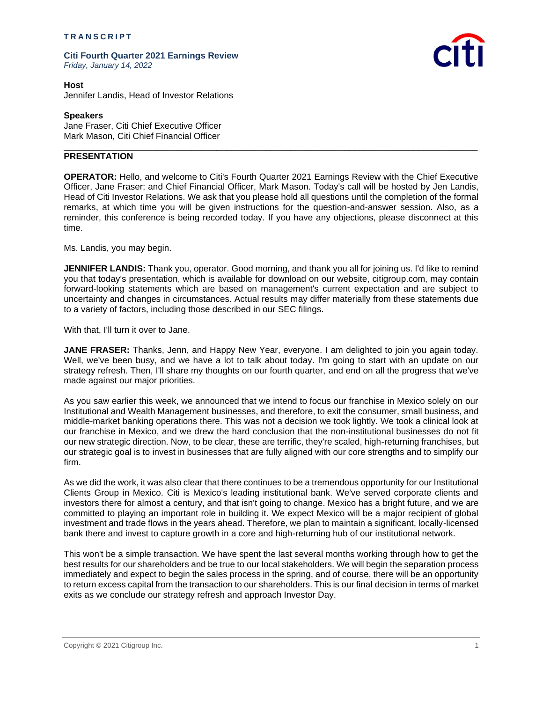## **T R A N S C R I P T**

**Citi Fourth Quarter 2021 Earnings Review** *Friday, January 14, 2022*



**Host** Jennifer Landis, Head of Investor Relations

## **Speakers**

Jane Fraser, Citi Chief Executive Officer Mark Mason, Citi Chief Financial Officer

## **PRESENTATION**

**OPERATOR:** Hello, and welcome to Citi's Fourth Quarter 2021 Earnings Review with the Chief Executive Officer, Jane Fraser; and Chief Financial Officer, Mark Mason. Today's call will be hosted by Jen Landis, Head of Citi Investor Relations. We ask that you please hold all questions until the completion of the formal remarks, at which time you will be given instructions for the question-and-answer session. Also, as a reminder, this conference is being recorded today. If you have any objections, please disconnect at this time.

\_\_\_\_\_\_\_\_\_\_\_\_\_\_\_\_\_\_\_\_\_\_\_\_\_\_\_\_\_\_\_\_\_\_\_\_\_\_\_\_\_\_\_\_\_\_\_\_\_\_\_\_\_\_\_\_\_\_\_\_\_\_\_\_\_\_\_\_\_\_\_\_\_\_\_\_\_\_\_\_\_\_\_\_

Ms. Landis, you may begin.

**JENNIFER LANDIS:** Thank you, operator. Good morning, and thank you all for joining us. I'd like to remind you that today's presentation, which is available for download on our website, citigroup.com, may contain forward-looking statements which are based on management's current expectation and are subject to uncertainty and changes in circumstances. Actual results may differ materially from these statements due to a variety of factors, including those described in our SEC filings.

With that, I'll turn it over to Jane.

**JANE FRASER:** Thanks, Jenn, and Happy New Year, everyone. I am delighted to join you again today. Well, we've been busy, and we have a lot to talk about today. I'm going to start with an update on our strategy refresh. Then, I'll share my thoughts on our fourth quarter, and end on all the progress that we've made against our major priorities.

As you saw earlier this week, we announced that we intend to focus our franchise in Mexico solely on our Institutional and Wealth Management businesses, and therefore, to exit the consumer, small business, and middle-market banking operations there. This was not a decision we took lightly. We took a clinical look at our franchise in Mexico, and we drew the hard conclusion that the non-institutional businesses do not fit our new strategic direction. Now, to be clear, these are terrific, they're scaled, high-returning franchises, but our strategic goal is to invest in businesses that are fully aligned with our core strengths and to simplify our firm.

As we did the work, it was also clear that there continues to be a tremendous opportunity for our Institutional Clients Group in Mexico. Citi is Mexico's leading institutional bank. We've served corporate clients and investors there for almost a century, and that isn't going to change. Mexico has a bright future, and we are committed to playing an important role in building it. We expect Mexico will be a major recipient of global investment and trade flows in the years ahead. Therefore, we plan to maintain a significant, locally-licensed bank there and invest to capture growth in a core and high-returning hub of our institutional network.

This won't be a simple transaction. We have spent the last several months working through how to get the best results for our shareholders and be true to our local stakeholders. We will begin the separation process immediately and expect to begin the sales process in the spring, and of course, there will be an opportunity to return excess capital from the transaction to our shareholders. This is our final decision in terms of market exits as we conclude our strategy refresh and approach Investor Day.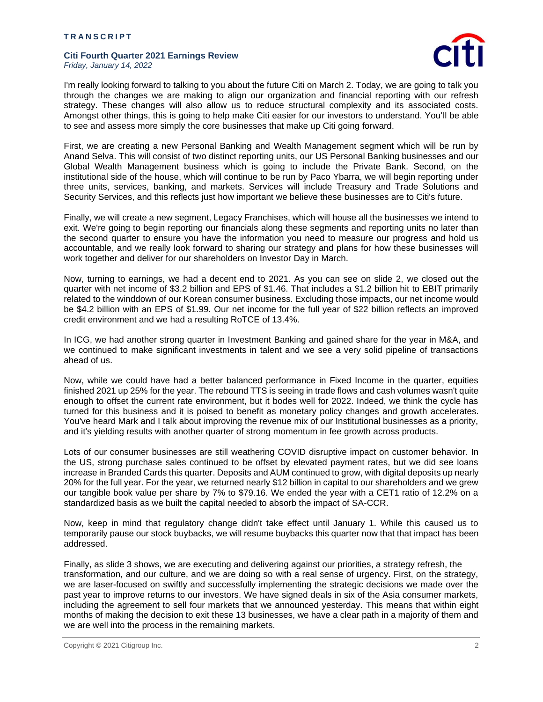

I'm really looking forward to talking to you about the future Citi on March 2. Today, we are going to talk you through the changes we are making to align our organization and financial reporting with our refresh strategy. These changes will also allow us to reduce structural complexity and its associated costs. Amongst other things, this is going to help make Citi easier for our investors to understand. You'll be able to see and assess more simply the core businesses that make up Citi going forward.

First, we are creating a new Personal Banking and Wealth Management segment which will be run by Anand Selva. This will consist of two distinct reporting units, our US Personal Banking businesses and our Global Wealth Management business which is going to include the Private Bank. Second, on the institutional side of the house, which will continue to be run by Paco Ybarra, we will begin reporting under three units, services, banking, and markets. Services will include Treasury and Trade Solutions and Security Services, and this reflects just how important we believe these businesses are to Citi's future.

Finally, we will create a new segment, Legacy Franchises, which will house all the businesses we intend to exit. We're going to begin reporting our financials along these segments and reporting units no later than the second quarter to ensure you have the information you need to measure our progress and hold us accountable, and we really look forward to sharing our strategy and plans for how these businesses will work together and deliver for our shareholders on Investor Day in March.

Now, turning to earnings, we had a decent end to 2021. As you can see on slide 2, we closed out the quarter with net income of \$3.2 billion and EPS of \$1.46. That includes a \$1.2 billion hit to EBIT primarily related to the winddown of our Korean consumer business. Excluding those impacts, our net income would be \$4.2 billion with an EPS of \$1.99. Our net income for the full year of \$22 billion reflects an improved credit environment and we had a resulting RoTCE of 13.4%.

In ICG, we had another strong quarter in Investment Banking and gained share for the year in M&A, and we continued to make significant investments in talent and we see a very solid pipeline of transactions ahead of us.

Now, while we could have had a better balanced performance in Fixed Income in the quarter, equities finished 2021 up 25% for the year. The rebound TTS is seeing in trade flows and cash volumes wasn't quite enough to offset the current rate environment, but it bodes well for 2022. Indeed, we think the cycle has turned for this business and it is poised to benefit as monetary policy changes and growth accelerates. You've heard Mark and I talk about improving the revenue mix of our Institutional businesses as a priority, and it's yielding results with another quarter of strong momentum in fee growth across products.

Lots of our consumer businesses are still weathering COVID disruptive impact on customer behavior. In the US, strong purchase sales continued to be offset by elevated payment rates, but we did see loans increase in Branded Cards this quarter. Deposits and AUM continued to grow, with digital deposits up nearly 20% for the full year. For the year, we returned nearly \$12 billion in capital to our shareholders and we grew our tangible book value per share by 7% to \$79.16. We ended the year with a CET1 ratio of 12.2% on a standardized basis as we built the capital needed to absorb the impact of SA-CCR.

Now, keep in mind that regulatory change didn't take effect until January 1. While this caused us to temporarily pause our stock buybacks, we will resume buybacks this quarter now that that impact has been addressed.

Finally, as slide 3 shows, we are executing and delivering against our priorities, a strategy refresh, the transformation, and our culture, and we are doing so with a real sense of urgency. First, on the strategy, we are laser-focused on swiftly and successfully implementing the strategic decisions we made over the past year to improve returns to our investors. We have signed deals in six of the Asia consumer markets, including the agreement to sell four markets that we announced yesterday. This means that within eight months of making the decision to exit these 13 businesses, we have a clear path in a majority of them and we are well into the process in the remaining markets.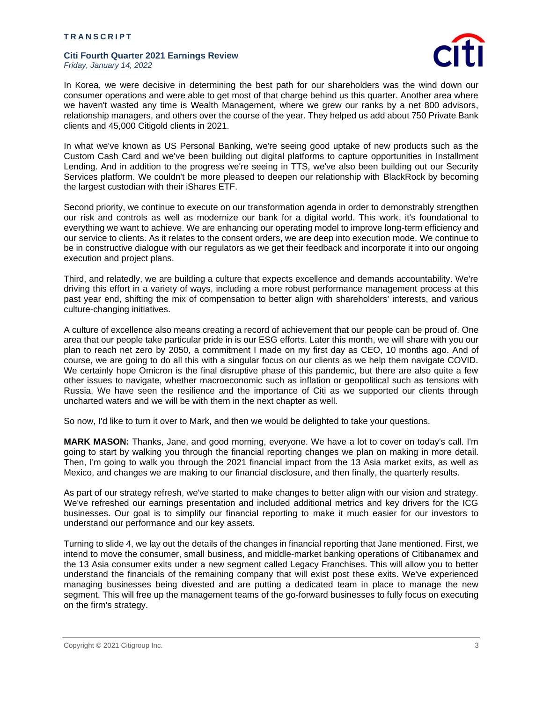

In Korea, we were decisive in determining the best path for our shareholders was the wind down our consumer operations and were able to get most of that charge behind us this quarter. Another area where we haven't wasted any time is Wealth Management, where we grew our ranks by a net 800 advisors, relationship managers, and others over the course of the year. They helped us add about 750 Private Bank clients and 45,000 Citigold clients in 2021.

In what we've known as US Personal Banking, we're seeing good uptake of new products such as the Custom Cash Card and we've been building out digital platforms to capture opportunities in Installment Lending. And in addition to the progress we're seeing in TTS, we've also been building out our Security Services platform. We couldn't be more pleased to deepen our relationship with BlackRock by becoming the largest custodian with their iShares ETF.

Second priority, we continue to execute on our transformation agenda in order to demonstrably strengthen our risk and controls as well as modernize our bank for a digital world. This work, it's foundational to everything we want to achieve. We are enhancing our operating model to improve long-term efficiency and our service to clients. As it relates to the consent orders, we are deep into execution mode. We continue to be in constructive dialogue with our regulators as we get their feedback and incorporate it into our ongoing execution and project plans.

Third, and relatedly, we are building a culture that expects excellence and demands accountability. We're driving this effort in a variety of ways, including a more robust performance management process at this past year end, shifting the mix of compensation to better align with shareholders' interests, and various culture-changing initiatives.

A culture of excellence also means creating a record of achievement that our people can be proud of. One area that our people take particular pride in is our ESG efforts. Later this month, we will share with you our plan to reach net zero by 2050, a commitment I made on my first day as CEO, 10 months ago. And of course, we are going to do all this with a singular focus on our clients as we help them navigate COVID. We certainly hope Omicron is the final disruptive phase of this pandemic, but there are also quite a few other issues to navigate, whether macroeconomic such as inflation or geopolitical such as tensions with Russia. We have seen the resilience and the importance of Citi as we supported our clients through uncharted waters and we will be with them in the next chapter as well.

So now, I'd like to turn it over to Mark, and then we would be delighted to take your questions.

**MARK MASON:** Thanks, Jane, and good morning, everyone. We have a lot to cover on today's call. I'm going to start by walking you through the financial reporting changes we plan on making in more detail. Then, I'm going to walk you through the 2021 financial impact from the 13 Asia market exits, as well as Mexico, and changes we are making to our financial disclosure, and then finally, the quarterly results.

As part of our strategy refresh, we've started to make changes to better align with our vision and strategy. We've refreshed our earnings presentation and included additional metrics and key drivers for the ICG businesses. Our goal is to simplify our financial reporting to make it much easier for our investors to understand our performance and our key assets.

Turning to slide 4, we lay out the details of the changes in financial reporting that Jane mentioned. First, we intend to move the consumer, small business, and middle-market banking operations of Citibanamex and the 13 Asia consumer exits under a new segment called Legacy Franchises. This will allow you to better understand the financials of the remaining company that will exist post these exits. We've experienced managing businesses being divested and are putting a dedicated team in place to manage the new segment. This will free up the management teams of the go-forward businesses to fully focus on executing on the firm's strategy.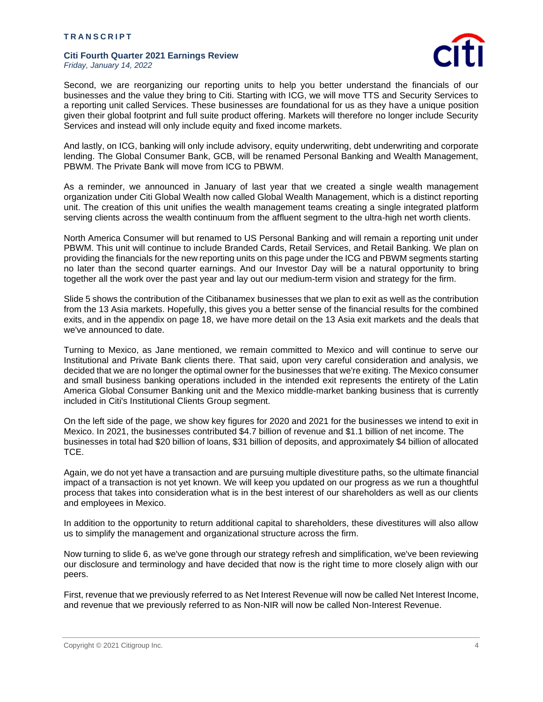

Second, we are reorganizing our reporting units to help you better understand the financials of our businesses and the value they bring to Citi. Starting with ICG, we will move TTS and Security Services to a reporting unit called Services. These businesses are foundational for us as they have a unique position given their global footprint and full suite product offering. Markets will therefore no longer include Security Services and instead will only include equity and fixed income markets.

And lastly, on ICG, banking will only include advisory, equity underwriting, debt underwriting and corporate lending. The Global Consumer Bank, GCB, will be renamed Personal Banking and Wealth Management, PBWM. The Private Bank will move from ICG to PBWM.

As a reminder, we announced in January of last year that we created a single wealth management organization under Citi Global Wealth now called Global Wealth Management, which is a distinct reporting unit. The creation of this unit unifies the wealth management teams creating a single integrated platform serving clients across the wealth continuum from the affluent segment to the ultra-high net worth clients.

North America Consumer will but renamed to US Personal Banking and will remain a reporting unit under PBWM. This unit will continue to include Branded Cards, Retail Services, and Retail Banking. We plan on providing the financials for the new reporting units on this page under the ICG and PBWM segments starting no later than the second quarter earnings. And our Investor Day will be a natural opportunity to bring together all the work over the past year and lay out our medium-term vision and strategy for the firm.

Slide 5 shows the contribution of the Citibanamex businesses that we plan to exit as well as the contribution from the 13 Asia markets. Hopefully, this gives you a better sense of the financial results for the combined exits, and in the appendix on page 18, we have more detail on the 13 Asia exit markets and the deals that we've announced to date.

Turning to Mexico, as Jane mentioned, we remain committed to Mexico and will continue to serve our Institutional and Private Bank clients there. That said, upon very careful consideration and analysis, we decided that we are no longer the optimal owner for the businesses that we're exiting. The Mexico consumer and small business banking operations included in the intended exit represents the entirety of the Latin America Global Consumer Banking unit and the Mexico middle-market banking business that is currently included in Citi's Institutional Clients Group segment.

On the left side of the page, we show key figures for 2020 and 2021 for the businesses we intend to exit in Mexico. In 2021, the businesses contributed \$4.7 billion of revenue and \$1.1 billion of net income. The businesses in total had \$20 billion of loans, \$31 billion of deposits, and approximately \$4 billion of allocated TCE.

Again, we do not yet have a transaction and are pursuing multiple divestiture paths, so the ultimate financial impact of a transaction is not yet known. We will keep you updated on our progress as we run a thoughtful process that takes into consideration what is in the best interest of our shareholders as well as our clients and employees in Mexico.

In addition to the opportunity to return additional capital to shareholders, these divestitures will also allow us to simplify the management and organizational structure across the firm.

Now turning to slide 6, as we've gone through our strategy refresh and simplification, we've been reviewing our disclosure and terminology and have decided that now is the right time to more closely align with our peers.

First, revenue that we previously referred to as Net Interest Revenue will now be called Net Interest Income, and revenue that we previously referred to as Non-NIR will now be called Non-Interest Revenue.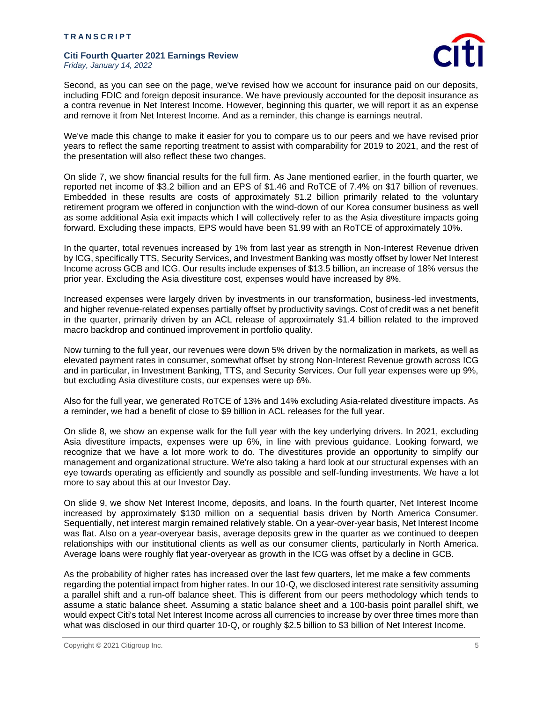

Second, as you can see on the page, we've revised how we account for insurance paid on our deposits, including FDIC and foreign deposit insurance. We have previously accounted for the deposit insurance as a contra revenue in Net Interest Income. However, beginning this quarter, we will report it as an expense and remove it from Net Interest Income. And as a reminder, this change is earnings neutral.

We've made this change to make it easier for you to compare us to our peers and we have revised prior years to reflect the same reporting treatment to assist with comparability for 2019 to 2021, and the rest of the presentation will also reflect these two changes.

On slide 7, we show financial results for the full firm. As Jane mentioned earlier, in the fourth quarter, we reported net income of \$3.2 billion and an EPS of \$1.46 and RoTCE of 7.4% on \$17 billion of revenues. Embedded in these results are costs of approximately \$1.2 billion primarily related to the voluntary retirement program we offered in conjunction with the wind-down of our Korea consumer business as well as some additional Asia exit impacts which I will collectively refer to as the Asia divestiture impacts going forward. Excluding these impacts, EPS would have been \$1.99 with an RoTCE of approximately 10%.

In the quarter, total revenues increased by 1% from last year as strength in Non-Interest Revenue driven by ICG, specifically TTS, Security Services, and Investment Banking was mostly offset by lower Net Interest Income across GCB and ICG. Our results include expenses of \$13.5 billion, an increase of 18% versus the prior year. Excluding the Asia divestiture cost, expenses would have increased by 8%.

Increased expenses were largely driven by investments in our transformation, business-led investments, and higher revenue-related expenses partially offset by productivity savings. Cost of credit was a net benefit in the quarter, primarily driven by an ACL release of approximately \$1.4 billion related to the improved macro backdrop and continued improvement in portfolio quality.

Now turning to the full year, our revenues were down 5% driven by the normalization in markets, as well as elevated payment rates in consumer, somewhat offset by strong Non-Interest Revenue growth across ICG and in particular, in Investment Banking, TTS, and Security Services. Our full year expenses were up 9%, but excluding Asia divestiture costs, our expenses were up 6%.

Also for the full year, we generated RoTCE of 13% and 14% excluding Asia-related divestiture impacts. As a reminder, we had a benefit of close to \$9 billion in ACL releases for the full year.

On slide 8, we show an expense walk for the full year with the key underlying drivers. In 2021, excluding Asia divestiture impacts, expenses were up 6%, in line with previous guidance. Looking forward, we recognize that we have a lot more work to do. The divestitures provide an opportunity to simplify our management and organizational structure. We're also taking a hard look at our structural expenses with an eye towards operating as efficiently and soundly as possible and self-funding investments. We have a lot more to say about this at our Investor Day.

On slide 9, we show Net Interest Income, deposits, and loans. In the fourth quarter, Net Interest Income increased by approximately \$130 million on a sequential basis driven by North America Consumer. Sequentially, net interest margin remained relatively stable. On a year-over-year basis, Net Interest Income was flat. Also on a year-overyear basis, average deposits grew in the quarter as we continued to deepen relationships with our institutional clients as well as our consumer clients, particularly in North America. Average loans were roughly flat year-overyear as growth in the ICG was offset by a decline in GCB.

As the probability of higher rates has increased over the last few quarters, let me make a few comments regarding the potential impact from higher rates. In our 10-Q, we disclosed interest rate sensitivity assuming a parallel shift and a run-off balance sheet. This is different from our peers methodology which tends to assume a static balance sheet. Assuming a static balance sheet and a 100-basis point parallel shift, we would expect Citi's total Net Interest Income across all currencies to increase by over three times more than what was disclosed in our third quarter 10-Q, or roughly \$2.5 billion to \$3 billion of Net Interest Income.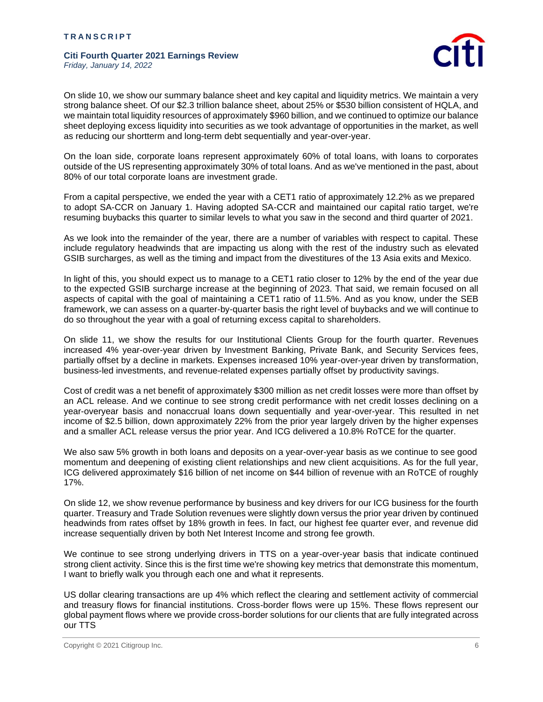

On slide 10, we show our summary balance sheet and key capital and liquidity metrics. We maintain a very strong balance sheet. Of our \$2.3 trillion balance sheet, about 25% or \$530 billion consistent of HQLA, and we maintain total liquidity resources of approximately \$960 billion, and we continued to optimize our balance sheet deploying excess liquidity into securities as we took advantage of opportunities in the market, as well as reducing our shortterm and long-term debt sequentially and year-over-year.

On the loan side, corporate loans represent approximately 60% of total loans, with loans to corporates outside of the US representing approximately 30% of total loans. And as we've mentioned in the past, about 80% of our total corporate loans are investment grade.

From a capital perspective, we ended the year with a CET1 ratio of approximately 12.2% as we prepared to adopt SA-CCR on January 1. Having adopted SA-CCR and maintained our capital ratio target, we're resuming buybacks this quarter to similar levels to what you saw in the second and third quarter of 2021.

As we look into the remainder of the year, there are a number of variables with respect to capital. These include regulatory headwinds that are impacting us along with the rest of the industry such as elevated GSIB surcharges, as well as the timing and impact from the divestitures of the 13 Asia exits and Mexico.

In light of this, you should expect us to manage to a CET1 ratio closer to 12% by the end of the year due to the expected GSIB surcharge increase at the beginning of 2023. That said, we remain focused on all aspects of capital with the goal of maintaining a CET1 ratio of 11.5%. And as you know, under the SEB framework, we can assess on a quarter-by-quarter basis the right level of buybacks and we will continue to do so throughout the year with a goal of returning excess capital to shareholders.

On slide 11, we show the results for our Institutional Clients Group for the fourth quarter. Revenues increased 4% year-over-year driven by Investment Banking, Private Bank, and Security Services fees, partially offset by a decline in markets. Expenses increased 10% year-over-year driven by transformation, business-led investments, and revenue-related expenses partially offset by productivity savings.

Cost of credit was a net benefit of approximately \$300 million as net credit losses were more than offset by an ACL release. And we continue to see strong credit performance with net credit losses declining on a year-overyear basis and nonaccrual loans down sequentially and year-over-year. This resulted in net income of \$2.5 billion, down approximately 22% from the prior year largely driven by the higher expenses and a smaller ACL release versus the prior year. And ICG delivered a 10.8% RoTCE for the quarter.

We also saw 5% growth in both loans and deposits on a year-over-year basis as we continue to see good momentum and deepening of existing client relationships and new client acquisitions. As for the full year, ICG delivered approximately \$16 billion of net income on \$44 billion of revenue with an RoTCE of roughly 17%.

On slide 12, we show revenue performance by business and key drivers for our ICG business for the fourth quarter. Treasury and Trade Solution revenues were slightly down versus the prior year driven by continued headwinds from rates offset by 18% growth in fees. In fact, our highest fee quarter ever, and revenue did increase sequentially driven by both Net Interest Income and strong fee growth.

We continue to see strong underlying drivers in TTS on a year-over-year basis that indicate continued strong client activity. Since this is the first time we're showing key metrics that demonstrate this momentum, I want to briefly walk you through each one and what it represents.

US dollar clearing transactions are up 4% which reflect the clearing and settlement activity of commercial and treasury flows for financial institutions. Cross-border flows were up 15%. These flows represent our global payment flows where we provide cross-border solutions for our clients that are fully integrated across our TTS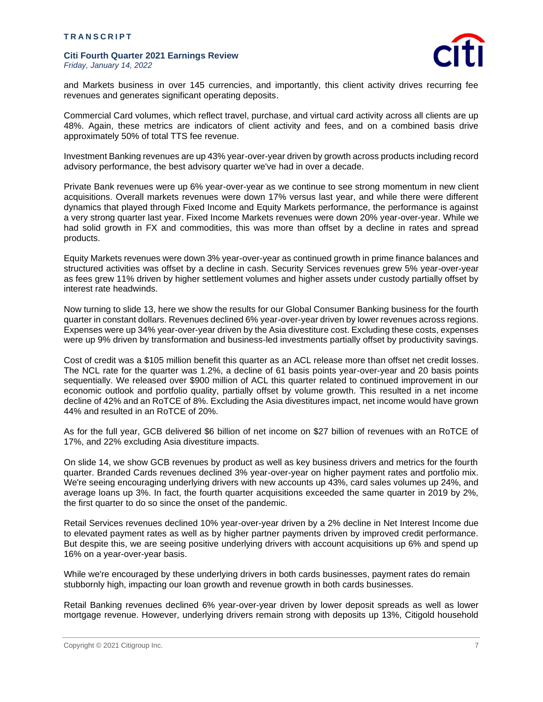

and Markets business in over 145 currencies, and importantly, this client activity drives recurring fee revenues and generates significant operating deposits.

Commercial Card volumes, which reflect travel, purchase, and virtual card activity across all clients are up 48%. Again, these metrics are indicators of client activity and fees, and on a combined basis drive approximately 50% of total TTS fee revenue.

Investment Banking revenues are up 43% year-over-year driven by growth across products including record advisory performance, the best advisory quarter we've had in over a decade.

Private Bank revenues were up 6% year-over-year as we continue to see strong momentum in new client acquisitions. Overall markets revenues were down 17% versus last year, and while there were different dynamics that played through Fixed Income and Equity Markets performance, the performance is against a very strong quarter last year. Fixed Income Markets revenues were down 20% year-over-year. While we had solid growth in FX and commodities, this was more than offset by a decline in rates and spread products.

Equity Markets revenues were down 3% year-over-year as continued growth in prime finance balances and structured activities was offset by a decline in cash. Security Services revenues grew 5% year-over-year as fees grew 11% driven by higher settlement volumes and higher assets under custody partially offset by interest rate headwinds.

Now turning to slide 13, here we show the results for our Global Consumer Banking business for the fourth quarter in constant dollars. Revenues declined 6% year-over-year driven by lower revenues across regions. Expenses were up 34% year-over-year driven by the Asia divestiture cost. Excluding these costs, expenses were up 9% driven by transformation and business-led investments partially offset by productivity savings.

Cost of credit was a \$105 million benefit this quarter as an ACL release more than offset net credit losses. The NCL rate for the quarter was 1.2%, a decline of 61 basis points year-over-year and 20 basis points sequentially. We released over \$900 million of ACL this quarter related to continued improvement in our economic outlook and portfolio quality, partially offset by volume growth. This resulted in a net income decline of 42% and an RoTCE of 8%. Excluding the Asia divestitures impact, net income would have grown 44% and resulted in an RoTCE of 20%.

As for the full year, GCB delivered \$6 billion of net income on \$27 billion of revenues with an RoTCE of 17%, and 22% excluding Asia divestiture impacts.

On slide 14, we show GCB revenues by product as well as key business drivers and metrics for the fourth quarter. Branded Cards revenues declined 3% year-over-year on higher payment rates and portfolio mix. We're seeing encouraging underlying drivers with new accounts up 43%, card sales volumes up 24%, and average loans up 3%. In fact, the fourth quarter acquisitions exceeded the same quarter in 2019 by 2%, the first quarter to do so since the onset of the pandemic.

Retail Services revenues declined 10% year-over-year driven by a 2% decline in Net Interest Income due to elevated payment rates as well as by higher partner payments driven by improved credit performance. But despite this, we are seeing positive underlying drivers with account acquisitions up 6% and spend up 16% on a year-over-year basis.

While we're encouraged by these underlying drivers in both cards businesses, payment rates do remain stubbornly high, impacting our loan growth and revenue growth in both cards businesses.

Retail Banking revenues declined 6% year-over-year driven by lower deposit spreads as well as lower mortgage revenue. However, underlying drivers remain strong with deposits up 13%, Citigold household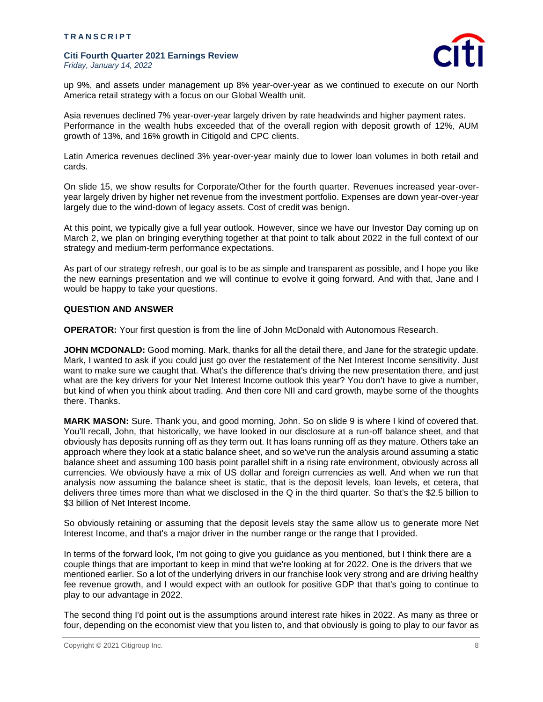

up 9%, and assets under management up 8% year-over-year as we continued to execute on our North America retail strategy with a focus on our Global Wealth unit.

Asia revenues declined 7% year-over-year largely driven by rate headwinds and higher payment rates. Performance in the wealth hubs exceeded that of the overall region with deposit growth of 12%, AUM growth of 13%, and 16% growth in Citigold and CPC clients.

Latin America revenues declined 3% year-over-year mainly due to lower loan volumes in both retail and cards.

On slide 15, we show results for Corporate/Other for the fourth quarter. Revenues increased year-overyear largely driven by higher net revenue from the investment portfolio. Expenses are down year-over-year largely due to the wind-down of legacy assets. Cost of credit was benign.

At this point, we typically give a full year outlook. However, since we have our Investor Day coming up on March 2, we plan on bringing everything together at that point to talk about 2022 in the full context of our strategy and medium-term performance expectations.

As part of our strategy refresh, our goal is to be as simple and transparent as possible, and I hope you like the new earnings presentation and we will continue to evolve it going forward. And with that, Jane and I would be happy to take your questions.

# **QUESTION AND ANSWER**

**OPERATOR:** Your first question is from the line of John McDonald with Autonomous Research.

**JOHN MCDONALD:** Good morning. Mark, thanks for all the detail there, and Jane for the strategic update. Mark, I wanted to ask if you could just go over the restatement of the Net Interest Income sensitivity. Just want to make sure we caught that. What's the difference that's driving the new presentation there, and just what are the key drivers for your Net Interest Income outlook this year? You don't have to give a number, but kind of when you think about trading. And then core NII and card growth, maybe some of the thoughts there. Thanks.

**MARK MASON:** Sure. Thank you, and good morning, John. So on slide 9 is where I kind of covered that. You'll recall, John, that historically, we have looked in our disclosure at a run-off balance sheet, and that obviously has deposits running off as they term out. It has loans running off as they mature. Others take an approach where they look at a static balance sheet, and so we've run the analysis around assuming a static balance sheet and assuming 100 basis point parallel shift in a rising rate environment, obviously across all currencies. We obviously have a mix of US dollar and foreign currencies as well. And when we run that analysis now assuming the balance sheet is static, that is the deposit levels, loan levels, et cetera, that delivers three times more than what we disclosed in the Q in the third quarter. So that's the \$2.5 billion to \$3 billion of Net Interest Income.

So obviously retaining or assuming that the deposit levels stay the same allow us to generate more Net Interest Income, and that's a major driver in the number range or the range that I provided.

In terms of the forward look, I'm not going to give you guidance as you mentioned, but I think there are a couple things that are important to keep in mind that we're looking at for 2022. One is the drivers that we mentioned earlier. So a lot of the underlying drivers in our franchise look very strong and are driving healthy fee revenue growth, and I would expect with an outlook for positive GDP that that's going to continue to play to our advantage in 2022.

The second thing I'd point out is the assumptions around interest rate hikes in 2022. As many as three or four, depending on the economist view that you listen to, and that obviously is going to play to our favor as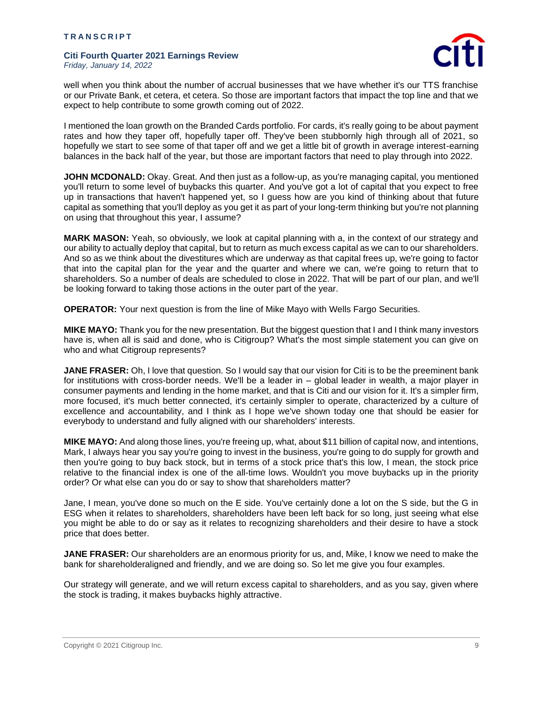

well when you think about the number of accrual businesses that we have whether it's our TTS franchise or our Private Bank, et cetera, et cetera. So those are important factors that impact the top line and that we expect to help contribute to some growth coming out of 2022.

I mentioned the loan growth on the Branded Cards portfolio. For cards, it's really going to be about payment rates and how they taper off, hopefully taper off. They've been stubbornly high through all of 2021, so hopefully we start to see some of that taper off and we get a little bit of growth in average interest-earning balances in the back half of the year, but those are important factors that need to play through into 2022.

**JOHN MCDONALD:** Okay. Great. And then just as a follow-up, as you're managing capital, you mentioned you'll return to some level of buybacks this quarter. And you've got a lot of capital that you expect to free up in transactions that haven't happened yet, so I guess how are you kind of thinking about that future capital as something that you'll deploy as you get it as part of your long-term thinking but you're not planning on using that throughout this year, I assume?

**MARK MASON:** Yeah, so obviously, we look at capital planning with a, in the context of our strategy and our ability to actually deploy that capital, but to return as much excess capital as we can to our shareholders. And so as we think about the divestitures which are underway as that capital frees up, we're going to factor that into the capital plan for the year and the quarter and where we can, we're going to return that to shareholders. So a number of deals are scheduled to close in 2022. That will be part of our plan, and we'll be looking forward to taking those actions in the outer part of the year.

**OPERATOR:** Your next question is from the line of Mike Mayo with Wells Fargo Securities.

**MIKE MAYO:** Thank you for the new presentation. But the biggest question that I and I think many investors have is, when all is said and done, who is Citigroup? What's the most simple statement you can give on who and what Citigroup represents?

**JANE FRASER:** Oh, I love that question. So I would say that our vision for Citi is to be the preeminent bank for institutions with cross-border needs. We'll be a leader in – global leader in wealth, a major player in consumer payments and lending in the home market, and that is Citi and our vision for it. It's a simpler firm, more focused, it's much better connected, it's certainly simpler to operate, characterized by a culture of excellence and accountability, and I think as I hope we've shown today one that should be easier for everybody to understand and fully aligned with our shareholders' interests.

**MIKE MAYO:** And along those lines, you're freeing up, what, about \$11 billion of capital now, and intentions, Mark, I always hear you say you're going to invest in the business, you're going to do supply for growth and then you're going to buy back stock, but in terms of a stock price that's this low, I mean, the stock price relative to the financial index is one of the all-time lows. Wouldn't you move buybacks up in the priority order? Or what else can you do or say to show that shareholders matter?

Jane, I mean, you've done so much on the E side. You've certainly done a lot on the S side, but the G in ESG when it relates to shareholders, shareholders have been left back for so long, just seeing what else you might be able to do or say as it relates to recognizing shareholders and their desire to have a stock price that does better.

**JANE FRASER:** Our shareholders are an enormous priority for us, and, Mike, I know we need to make the bank for shareholderaligned and friendly, and we are doing so. So let me give you four examples.

Our strategy will generate, and we will return excess capital to shareholders, and as you say, given where the stock is trading, it makes buybacks highly attractive.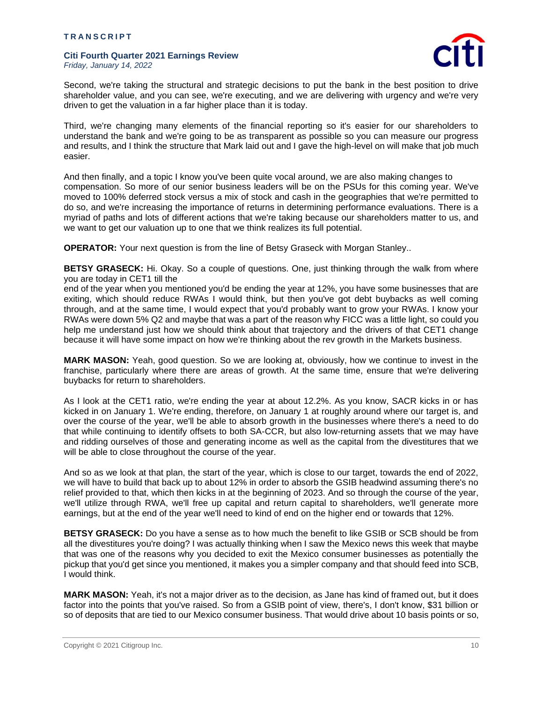

Second, we're taking the structural and strategic decisions to put the bank in the best position to drive shareholder value, and you can see, we're executing, and we are delivering with urgency and we're very driven to get the valuation in a far higher place than it is today.

Third, we're changing many elements of the financial reporting so it's easier for our shareholders to understand the bank and we're going to be as transparent as possible so you can measure our progress and results, and I think the structure that Mark laid out and I gave the high-level on will make that job much easier.

And then finally, and a topic I know you've been quite vocal around, we are also making changes to compensation. So more of our senior business leaders will be on the PSUs for this coming year. We've moved to 100% deferred stock versus a mix of stock and cash in the geographies that we're permitted to do so, and we're increasing the importance of returns in determining performance evaluations. There is a myriad of paths and lots of different actions that we're taking because our shareholders matter to us, and we want to get our valuation up to one that we think realizes its full potential.

**OPERATOR:** Your next question is from the line of Betsy Graseck with Morgan Stanley..

**BETSY GRASECK:** Hi. Okay. So a couple of questions. One, just thinking through the walk from where you are today in CET1 till the

end of the year when you mentioned you'd be ending the year at 12%, you have some businesses that are exiting, which should reduce RWAs I would think, but then you've got debt buybacks as well coming through, and at the same time, I would expect that you'd probably want to grow your RWAs. I know your RWAs were down 5% Q2 and maybe that was a part of the reason why FICC was a little light, so could you help me understand just how we should think about that trajectory and the drivers of that CET1 change because it will have some impact on how we're thinking about the rev growth in the Markets business.

**MARK MASON:** Yeah, good question. So we are looking at, obviously, how we continue to invest in the franchise, particularly where there are areas of growth. At the same time, ensure that we're delivering buybacks for return to shareholders.

As I look at the CET1 ratio, we're ending the year at about 12.2%. As you know, SACR kicks in or has kicked in on January 1. We're ending, therefore, on January 1 at roughly around where our target is, and over the course of the year, we'll be able to absorb growth in the businesses where there's a need to do that while continuing to identify offsets to both SA-CCR, but also low-returning assets that we may have and ridding ourselves of those and generating income as well as the capital from the divestitures that we will be able to close throughout the course of the year.

And so as we look at that plan, the start of the year, which is close to our target, towards the end of 2022, we will have to build that back up to about 12% in order to absorb the GSIB headwind assuming there's no relief provided to that, which then kicks in at the beginning of 2023. And so through the course of the year, we'll utilize through RWA, we'll free up capital and return capital to shareholders, we'll generate more earnings, but at the end of the year we'll need to kind of end on the higher end or towards that 12%.

**BETSY GRASECK:** Do you have a sense as to how much the benefit to like GSIB or SCB should be from all the divestitures you're doing? I was actually thinking when I saw the Mexico news this week that maybe that was one of the reasons why you decided to exit the Mexico consumer businesses as potentially the pickup that you'd get since you mentioned, it makes you a simpler company and that should feed into SCB, I would think.

**MARK MASON:** Yeah, it's not a major driver as to the decision, as Jane has kind of framed out, but it does factor into the points that you've raised. So from a GSIB point of view, there's, I don't know, \$31 billion or so of deposits that are tied to our Mexico consumer business. That would drive about 10 basis points or so,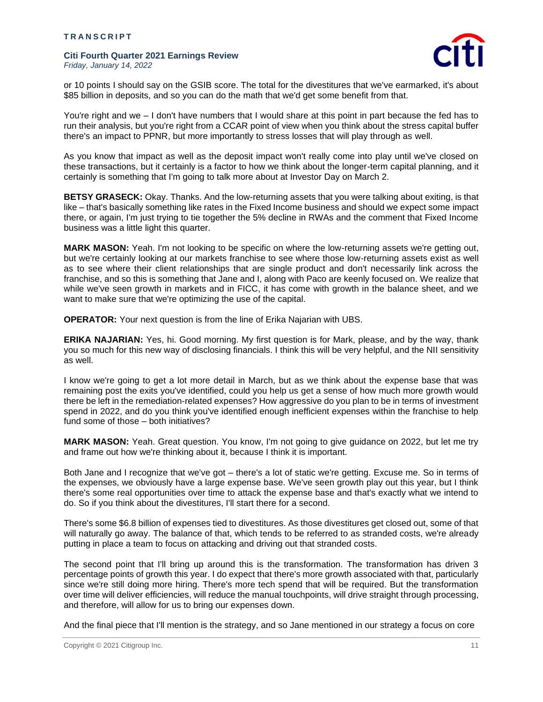

or 10 points I should say on the GSIB score. The total for the divestitures that we've earmarked, it's about \$85 billion in deposits, and so you can do the math that we'd get some benefit from that.

You're right and we – I don't have numbers that I would share at this point in part because the fed has to run their analysis, but you're right from a CCAR point of view when you think about the stress capital buffer there's an impact to PPNR, but more importantly to stress losses that will play through as well.

As you know that impact as well as the deposit impact won't really come into play until we've closed on these transactions, but it certainly is a factor to how we think about the longer-term capital planning, and it certainly is something that I'm going to talk more about at Investor Day on March 2.

**BETSY GRASECK:** Okay. Thanks. And the low-returning assets that you were talking about exiting, is that like – that's basically something like rates in the Fixed Income business and should we expect some impact there, or again, I'm just trying to tie together the 5% decline in RWAs and the comment that Fixed Income business was a little light this quarter.

**MARK MASON:** Yeah. I'm not looking to be specific on where the low-returning assets we're getting out, but we're certainly looking at our markets franchise to see where those low-returning assets exist as well as to see where their client relationships that are single product and don't necessarily link across the franchise, and so this is something that Jane and I, along with Paco are keenly focused on. We realize that while we've seen growth in markets and in FICC, it has come with growth in the balance sheet, and we want to make sure that we're optimizing the use of the capital.

**OPERATOR:** Your next question is from the line of Erika Najarian with UBS.

**ERIKA NAJARIAN:** Yes, hi. Good morning. My first question is for Mark, please, and by the way, thank you so much for this new way of disclosing financials. I think this will be very helpful, and the NII sensitivity as well.

I know we're going to get a lot more detail in March, but as we think about the expense base that was remaining post the exits you've identified, could you help us get a sense of how much more growth would there be left in the remediation-related expenses? How aggressive do you plan to be in terms of investment spend in 2022, and do you think you've identified enough inefficient expenses within the franchise to help fund some of those – both initiatives?

**MARK MASON:** Yeah. Great question. You know, I'm not going to give guidance on 2022, but let me try and frame out how we're thinking about it, because I think it is important.

Both Jane and I recognize that we've got – there's a lot of static we're getting. Excuse me. So in terms of the expenses, we obviously have a large expense base. We've seen growth play out this year, but I think there's some real opportunities over time to attack the expense base and that's exactly what we intend to do. So if you think about the divestitures, I'll start there for a second.

There's some \$6.8 billion of expenses tied to divestitures. As those divestitures get closed out, some of that will naturally go away. The balance of that, which tends to be referred to as stranded costs, we're already putting in place a team to focus on attacking and driving out that stranded costs.

The second point that I'll bring up around this is the transformation. The transformation has driven 3 percentage points of growth this year. I do expect that there's more growth associated with that, particularly since we're still doing more hiring. There's more tech spend that will be required. But the transformation over time will deliver efficiencies, will reduce the manual touchpoints, will drive straight through processing, and therefore, will allow for us to bring our expenses down.

And the final piece that I'll mention is the strategy, and so Jane mentioned in our strategy a focus on core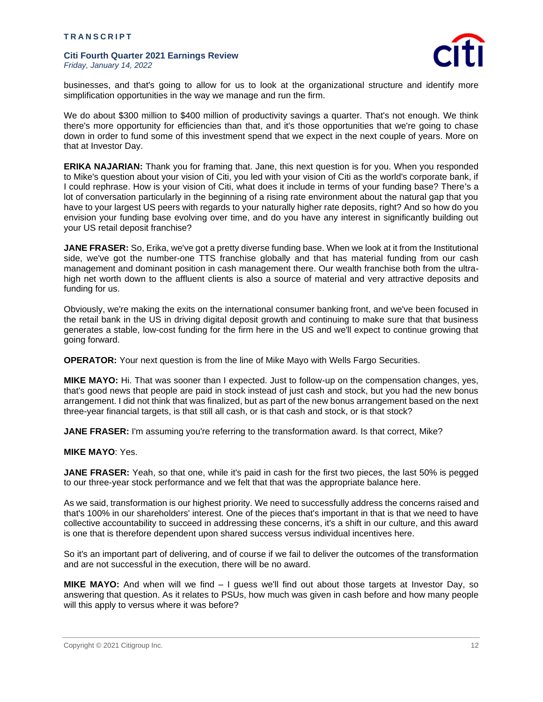

businesses, and that's going to allow for us to look at the organizational structure and identify more simplification opportunities in the way we manage and run the firm.

We do about \$300 million to \$400 million of productivity savings a quarter. That's not enough. We think there's more opportunity for efficiencies than that, and it's those opportunities that we're going to chase down in order to fund some of this investment spend that we expect in the next couple of years. More on that at Investor Day.

**ERIKA NAJARIAN:** Thank you for framing that. Jane, this next question is for you. When you responded to Mike's question about your vision of Citi, you led with your vision of Citi as the world's corporate bank, if I could rephrase. How is your vision of Citi, what does it include in terms of your funding base? There's a lot of conversation particularly in the beginning of a rising rate environment about the natural gap that you have to your largest US peers with regards to your naturally higher rate deposits, right? And so how do you envision your funding base evolving over time, and do you have any interest in significantly building out your US retail deposit franchise?

**JANE FRASER:** So, Erika, we've got a pretty diverse funding base. When we look at it from the Institutional side, we've got the number-one TTS franchise globally and that has material funding from our cash management and dominant position in cash management there. Our wealth franchise both from the ultrahigh net worth down to the affluent clients is also a source of material and very attractive deposits and funding for us.

Obviously, we're making the exits on the international consumer banking front, and we've been focused in the retail bank in the US in driving digital deposit growth and continuing to make sure that that business generates a stable, low-cost funding for the firm here in the US and we'll expect to continue growing that going forward.

**OPERATOR:** Your next question is from the line of Mike Mayo with Wells Fargo Securities.

**MIKE MAYO:** Hi. That was sooner than I expected. Just to follow-up on the compensation changes, yes, that's good news that people are paid in stock instead of just cash and stock, but you had the new bonus arrangement. I did not think that was finalized, but as part of the new bonus arrangement based on the next three-year financial targets, is that still all cash, or is that cash and stock, or is that stock?

**JANE FRASER:** I'm assuming you're referring to the transformation award. Is that correct, Mike?

# **MIKE MAYO**: Yes.

**JANE FRASER:** Yeah, so that one, while it's paid in cash for the first two pieces, the last 50% is pegged to our three-year stock performance and we felt that that was the appropriate balance here.

As we said, transformation is our highest priority. We need to successfully address the concerns raised and that's 100% in our shareholders' interest. One of the pieces that's important in that is that we need to have collective accountability to succeed in addressing these concerns, it's a shift in our culture, and this award is one that is therefore dependent upon shared success versus individual incentives here.

So it's an important part of delivering, and of course if we fail to deliver the outcomes of the transformation and are not successful in the execution, there will be no award.

**MIKE MAYO:** And when will we find – I guess we'll find out about those targets at Investor Day, so answering that question. As it relates to PSUs, how much was given in cash before and how many people will this apply to versus where it was before?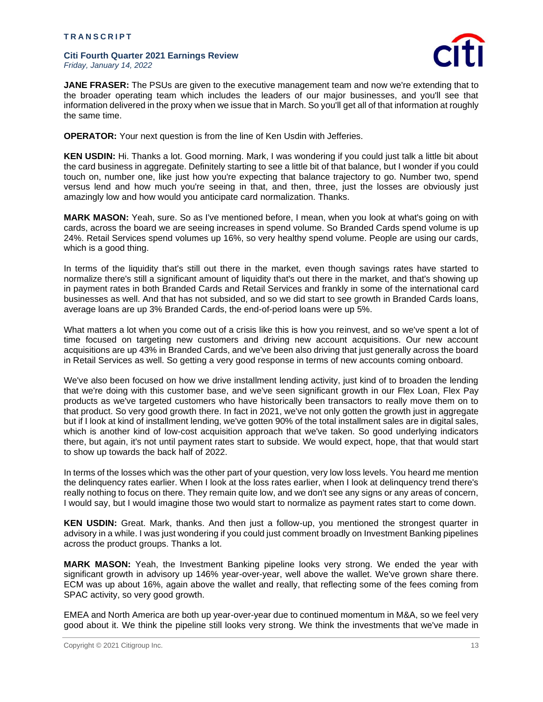

**JANE FRASER:** The PSUs are given to the executive management team and now we're extending that to the broader operating team which includes the leaders of our major businesses, and you'll see that information delivered in the proxy when we issue that in March. So you'll get all of that information at roughly the same time.

**OPERATOR:** Your next question is from the line of Ken Usdin with Jefferies.

**KEN USDIN:** Hi. Thanks a lot. Good morning. Mark, I was wondering if you could just talk a little bit about the card business in aggregate. Definitely starting to see a little bit of that balance, but I wonder if you could touch on, number one, like just how you're expecting that balance trajectory to go. Number two, spend versus lend and how much you're seeing in that, and then, three, just the losses are obviously just amazingly low and how would you anticipate card normalization. Thanks.

**MARK MASON:** Yeah, sure. So as I've mentioned before, I mean, when you look at what's going on with cards, across the board we are seeing increases in spend volume. So Branded Cards spend volume is up 24%. Retail Services spend volumes up 16%, so very healthy spend volume. People are using our cards, which is a good thing.

In terms of the liquidity that's still out there in the market, even though savings rates have started to normalize there's still a significant amount of liquidity that's out there in the market, and that's showing up in payment rates in both Branded Cards and Retail Services and frankly in some of the international card businesses as well. And that has not subsided, and so we did start to see growth in Branded Cards loans, average loans are up 3% Branded Cards, the end-of-period loans were up 5%.

What matters a lot when you come out of a crisis like this is how you reinvest, and so we've spent a lot of time focused on targeting new customers and driving new account acquisitions. Our new account acquisitions are up 43% in Branded Cards, and we've been also driving that just generally across the board in Retail Services as well. So getting a very good response in terms of new accounts coming onboard.

We've also been focused on how we drive installment lending activity, just kind of to broaden the lending that we're doing with this customer base, and we've seen significant growth in our Flex Loan, Flex Pay products as we've targeted customers who have historically been transactors to really move them on to that product. So very good growth there. In fact in 2021, we've not only gotten the growth just in aggregate but if I look at kind of installment lending, we've gotten 90% of the total installment sales are in digital sales, which is another kind of low-cost acquisition approach that we've taken. So good underlying indicators there, but again, it's not until payment rates start to subside. We would expect, hope, that that would start to show up towards the back half of 2022.

In terms of the losses which was the other part of your question, very low loss levels. You heard me mention the delinquency rates earlier. When I look at the loss rates earlier, when I look at delinquency trend there's really nothing to focus on there. They remain quite low, and we don't see any signs or any areas of concern, I would say, but I would imagine those two would start to normalize as payment rates start to come down.

**KEN USDIN:** Great. Mark, thanks. And then just a follow-up, you mentioned the strongest quarter in advisory in a while. I was just wondering if you could just comment broadly on Investment Banking pipelines across the product groups. Thanks a lot.

**MARK MASON:** Yeah, the Investment Banking pipeline looks very strong. We ended the year with significant growth in advisory up 146% year-over-year, well above the wallet. We've grown share there. ECM was up about 16%, again above the wallet and really, that reflecting some of the fees coming from SPAC activity, so very good growth.

EMEA and North America are both up year-over-year due to continued momentum in M&A, so we feel very good about it. We think the pipeline still looks very strong. We think the investments that we've made in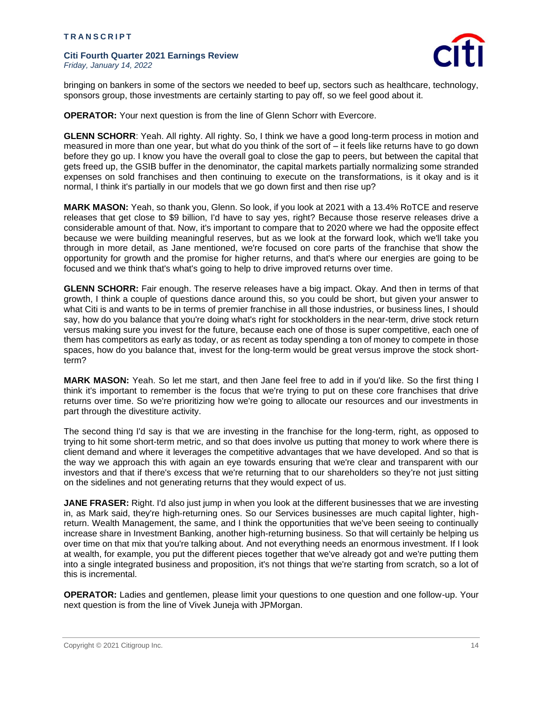

bringing on bankers in some of the sectors we needed to beef up, sectors such as healthcare, technology, sponsors group, those investments are certainly starting to pay off, so we feel good about it.

**OPERATOR:** Your next question is from the line of Glenn Schorr with Evercore.

**GLENN SCHORR**: Yeah. All righty. All righty. So, I think we have a good long-term process in motion and measured in more than one year, but what do you think of the sort of – it feels like returns have to go down before they go up. I know you have the overall goal to close the gap to peers, but between the capital that gets freed up, the GSIB buffer in the denominator, the capital markets partially normalizing some stranded expenses on sold franchises and then continuing to execute on the transformations, is it okay and is it normal, I think it's partially in our models that we go down first and then rise up?

**MARK MASON:** Yeah, so thank you, Glenn. So look, if you look at 2021 with a 13.4% RoTCE and reserve releases that get close to \$9 billion, I'd have to say yes, right? Because those reserve releases drive a considerable amount of that. Now, it's important to compare that to 2020 where we had the opposite effect because we were building meaningful reserves, but as we look at the forward look, which we'll take you through in more detail, as Jane mentioned, we're focused on core parts of the franchise that show the opportunity for growth and the promise for higher returns, and that's where our energies are going to be focused and we think that's what's going to help to drive improved returns over time.

**GLENN SCHORR:** Fair enough. The reserve releases have a big impact. Okay. And then in terms of that growth, I think a couple of questions dance around this, so you could be short, but given your answer to what Citi is and wants to be in terms of premier franchise in all those industries, or business lines, I should say, how do you balance that you're doing what's right for stockholders in the near-term, drive stock return versus making sure you invest for the future, because each one of those is super competitive, each one of them has competitors as early as today, or as recent as today spending a ton of money to compete in those spaces, how do you balance that, invest for the long-term would be great versus improve the stock shortterm?

**MARK MASON:** Yeah. So let me start, and then Jane feel free to add in if you'd like. So the first thing I think it's important to remember is the focus that we're trying to put on these core franchises that drive returns over time. So we're prioritizing how we're going to allocate our resources and our investments in part through the divestiture activity.

The second thing I'd say is that we are investing in the franchise for the long-term, right, as opposed to trying to hit some short-term metric, and so that does involve us putting that money to work where there is client demand and where it leverages the competitive advantages that we have developed. And so that is the way we approach this with again an eye towards ensuring that we're clear and transparent with our investors and that if there's excess that we're returning that to our shareholders so they're not just sitting on the sidelines and not generating returns that they would expect of us.

**JANE FRASER:** Right. I'd also just jump in when you look at the different businesses that we are investing in, as Mark said, they're high-returning ones. So our Services businesses are much capital lighter, highreturn. Wealth Management, the same, and I think the opportunities that we've been seeing to continually increase share in Investment Banking, another high-returning business. So that will certainly be helping us over time on that mix that you're talking about. And not everything needs an enormous investment. If I look at wealth, for example, you put the different pieces together that we've already got and we're putting them into a single integrated business and proposition, it's not things that we're starting from scratch, so a lot of this is incremental.

**OPERATOR:** Ladies and gentlemen, please limit your questions to one question and one follow-up. Your next question is from the line of Vivek Juneja with JPMorgan.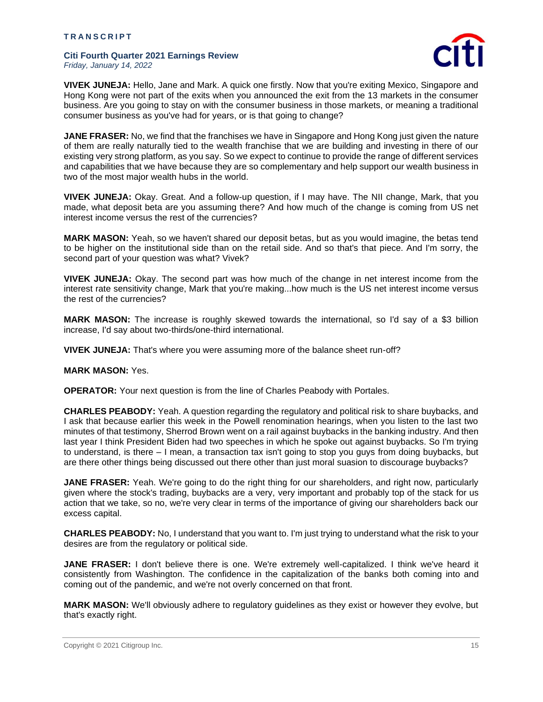

**VIVEK JUNEJA:** Hello, Jane and Mark. A quick one firstly. Now that you're exiting Mexico, Singapore and Hong Kong were not part of the exits when you announced the exit from the 13 markets in the consumer business. Are you going to stay on with the consumer business in those markets, or meaning a traditional consumer business as you've had for years, or is that going to change?

**JANE FRASER:** No, we find that the franchises we have in Singapore and Hong Kong just given the nature of them are really naturally tied to the wealth franchise that we are building and investing in there of our existing very strong platform, as you say. So we expect to continue to provide the range of different services and capabilities that we have because they are so complementary and help support our wealth business in two of the most major wealth hubs in the world.

**VIVEK JUNEJA:** Okay. Great. And a follow-up question, if I may have. The NII change, Mark, that you made, what deposit beta are you assuming there? And how much of the change is coming from US net interest income versus the rest of the currencies?

**MARK MASON:** Yeah, so we haven't shared our deposit betas, but as you would imagine, the betas tend to be higher on the institutional side than on the retail side. And so that's that piece. And I'm sorry, the second part of your question was what? Vivek?

**VIVEK JUNEJA:** Okay. The second part was how much of the change in net interest income from the interest rate sensitivity change, Mark that you're making...how much is the US net interest income versus the rest of the currencies?

**MARK MASON:** The increase is roughly skewed towards the international, so I'd say of a \$3 billion increase, I'd say about two-thirds/one-third international.

**VIVEK JUNEJA:** That's where you were assuming more of the balance sheet run-off?

**MARK MASON:** Yes.

**OPERATOR:** Your next question is from the line of Charles Peabody with Portales.

**CHARLES PEABODY:** Yeah. A question regarding the regulatory and political risk to share buybacks, and I ask that because earlier this week in the Powell renomination hearings, when you listen to the last two minutes of that testimony, Sherrod Brown went on a rail against buybacks in the banking industry. And then last year I think President Biden had two speeches in which he spoke out against buybacks. So I'm trying to understand, is there – I mean, a transaction tax isn't going to stop you guys from doing buybacks, but are there other things being discussed out there other than just moral suasion to discourage buybacks?

**JANE FRASER:** Yeah. We're going to do the right thing for our shareholders, and right now, particularly given where the stock's trading, buybacks are a very, very important and probably top of the stack for us action that we take, so no, we're very clear in terms of the importance of giving our shareholders back our excess capital.

**CHARLES PEABODY:** No, I understand that you want to. I'm just trying to understand what the risk to your desires are from the regulatory or political side.

**JANE FRASER:** I don't believe there is one. We're extremely well-capitalized. I think we've heard it consistently from Washington. The confidence in the capitalization of the banks both coming into and coming out of the pandemic, and we're not overly concerned on that front.

**MARK MASON:** We'll obviously adhere to regulatory guidelines as they exist or however they evolve, but that's exactly right.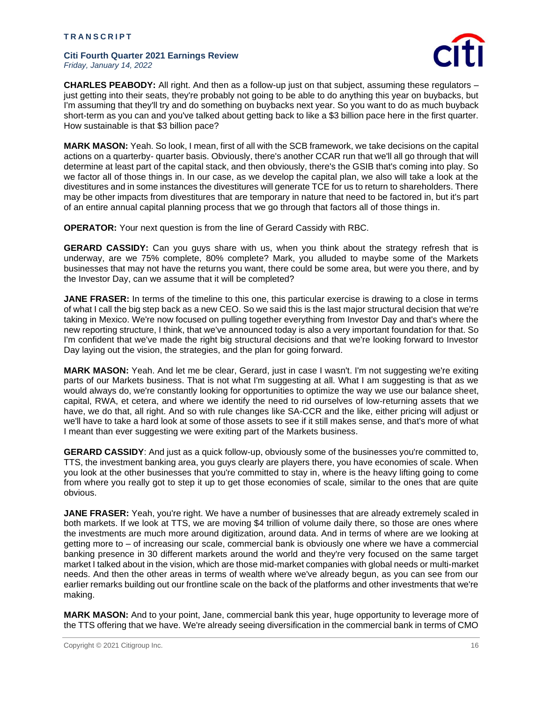

**CHARLES PEABODY:** All right. And then as a follow-up just on that subject, assuming these regulators – just getting into their seats, they're probably not going to be able to do anything this year on buybacks, but I'm assuming that they'll try and do something on buybacks next year. So you want to do as much buyback short-term as you can and you've talked about getting back to like a \$3 billion pace here in the first quarter. How sustainable is that \$3 billion pace?

**MARK MASON:** Yeah. So look, I mean, first of all with the SCB framework, we take decisions on the capital actions on a quarterby- quarter basis. Obviously, there's another CCAR run that we'll all go through that will determine at least part of the capital stack, and then obviously, there's the GSIB that's coming into play. So we factor all of those things in. In our case, as we develop the capital plan, we also will take a look at the divestitures and in some instances the divestitures will generate TCE for us to return to shareholders. There may be other impacts from divestitures that are temporary in nature that need to be factored in, but it's part of an entire annual capital planning process that we go through that factors all of those things in.

**OPERATOR:** Your next question is from the line of Gerard Cassidy with RBC.

**GERARD CASSIDY:** Can you guys share with us, when you think about the strategy refresh that is underway, are we 75% complete, 80% complete? Mark, you alluded to maybe some of the Markets businesses that may not have the returns you want, there could be some area, but were you there, and by the Investor Day, can we assume that it will be completed?

**JANE FRASER:** In terms of the timeline to this one, this particular exercise is drawing to a close in terms of what I call the big step back as a new CEO. So we said this is the last major structural decision that we're taking in Mexico. We're now focused on pulling together everything from Investor Day and that's where the new reporting structure, I think, that we've announced today is also a very important foundation for that. So I'm confident that we've made the right big structural decisions and that we're looking forward to Investor Day laying out the vision, the strategies, and the plan for going forward.

**MARK MASON:** Yeah. And let me be clear, Gerard, just in case I wasn't. I'm not suggesting we're exiting parts of our Markets business. That is not what I'm suggesting at all. What I am suggesting is that as we would always do, we're constantly looking for opportunities to optimize the way we use our balance sheet, capital, RWA, et cetera, and where we identify the need to rid ourselves of low-returning assets that we have, we do that, all right. And so with rule changes like SA-CCR and the like, either pricing will adjust or we'll have to take a hard look at some of those assets to see if it still makes sense, and that's more of what I meant than ever suggesting we were exiting part of the Markets business.

**GERARD CASSIDY**: And just as a quick follow-up, obviously some of the businesses you're committed to, TTS, the investment banking area, you guys clearly are players there, you have economies of scale. When you look at the other businesses that you're committed to stay in, where is the heavy lifting going to come from where you really got to step it up to get those economies of scale, similar to the ones that are quite obvious.

**JANE FRASER:** Yeah, you're right. We have a number of businesses that are already extremely scaled in both markets. If we look at TTS, we are moving \$4 trillion of volume daily there, so those are ones where the investments are much more around digitization, around data. And in terms of where are we looking at getting more to – of increasing our scale, commercial bank is obviously one where we have a commercial banking presence in 30 different markets around the world and they're very focused on the same target market I talked about in the vision, which are those mid-market companies with global needs or multi-market needs. And then the other areas in terms of wealth where we've already begun, as you can see from our earlier remarks building out our frontline scale on the back of the platforms and other investments that we're making.

**MARK MASON:** And to your point, Jane, commercial bank this year, huge opportunity to leverage more of the TTS offering that we have. We're already seeing diversification in the commercial bank in terms of CMO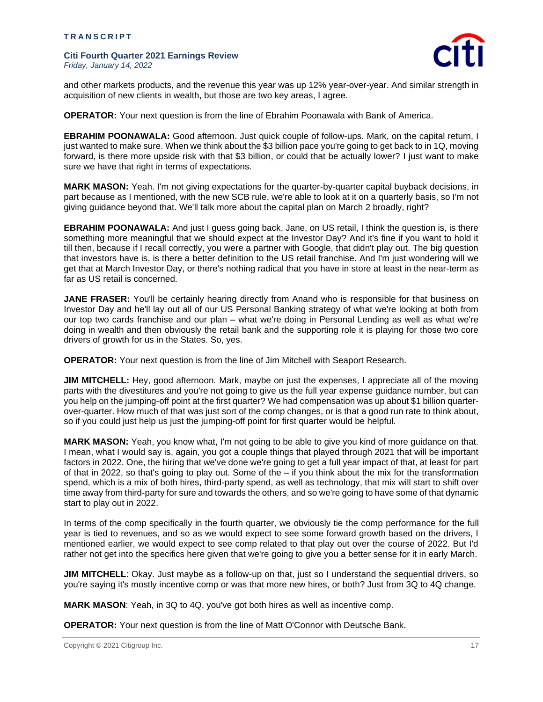

and other markets products, and the revenue this year was up 12% year-over-year. And similar strength in acquisition of new clients in wealth, but those are two key areas, I agree.

**OPERATOR:** Your next question is from the line of Ebrahim Poonawala with Bank of America.

**EBRAHIM POONAWALA:** Good afternoon. Just quick couple of follow-ups. Mark, on the capital return, I just wanted to make sure. When we think about the \$3 billion pace you're going to get back to in 1Q, moving forward, is there more upside risk with that \$3 billion, or could that be actually lower? I just want to make sure we have that right in terms of expectations.

**MARK MASON:** Yeah. I'm not giving expectations for the quarter-by-quarter capital buyback decisions, in part because as I mentioned, with the new SCB rule, we're able to look at it on a quarterly basis, so I'm not giving guidance beyond that. We'll talk more about the capital plan on March 2 broadly, right?

**EBRAHIM POONAWALA:** And just I guess going back, Jane, on US retail, I think the question is, is there something more meaningful that we should expect at the Investor Day? And it's fine if you want to hold it till then, because if I recall correctly, you were a partner with Google, that didn't play out. The big question that investors have is, is there a better definition to the US retail franchise. And I'm just wondering will we get that at March Investor Day, or there's nothing radical that you have in store at least in the near-term as far as US retail is concerned.

**JANE FRASER:** You'll be certainly hearing directly from Anand who is responsible for that business on Investor Day and he'll lay out all of our US Personal Banking strategy of what we're looking at both from our top two cards franchise and our plan – what we're doing in Personal Lending as well as what we're doing in wealth and then obviously the retail bank and the supporting role it is playing for those two core drivers of growth for us in the States. So, yes.

**OPERATOR:** Your next question is from the line of Jim Mitchell with Seaport Research.

**JIM MITCHELL:** Hey, good afternoon. Mark, maybe on just the expenses, I appreciate all of the moving parts with the divestitures and you're not going to give us the full year expense guidance number, but can you help on the jumping-off point at the first quarter? We had compensation was up about \$1 billion quarterover-quarter. How much of that was just sort of the comp changes, or is that a good run rate to think about, so if you could just help us just the jumping-off point for first quarter would be helpful.

**MARK MASON:** Yeah, you know what, I'm not going to be able to give you kind of more guidance on that. I mean, what I would say is, again, you got a couple things that played through 2021 that will be important factors in 2022. One, the hiring that we've done we're going to get a full year impact of that, at least for part of that in 2022, so that's going to play out. Some of the – if you think about the mix for the transformation spend, which is a mix of both hires, third-party spend, as well as technology, that mix will start to shift over time away from third-party for sure and towards the others, and so we're going to have some of that dynamic start to play out in 2022.

In terms of the comp specifically in the fourth quarter, we obviously tie the comp performance for the full year is tied to revenues, and so as we would expect to see some forward growth based on the drivers, I mentioned earlier, we would expect to see comp related to that play out over the course of 2022. But I'd rather not get into the specifics here given that we're going to give you a better sense for it in early March.

**JIM MITCHELL:** Okay. Just maybe as a follow-up on that, just so I understand the sequential drivers, so you're saying it's mostly incentive comp or was that more new hires, or both? Just from 3Q to 4Q change.

**MARK MASON**: Yeah, in 3Q to 4Q, you've got both hires as well as incentive comp.

**OPERATOR:** Your next question is from the line of Matt O'Connor with Deutsche Bank.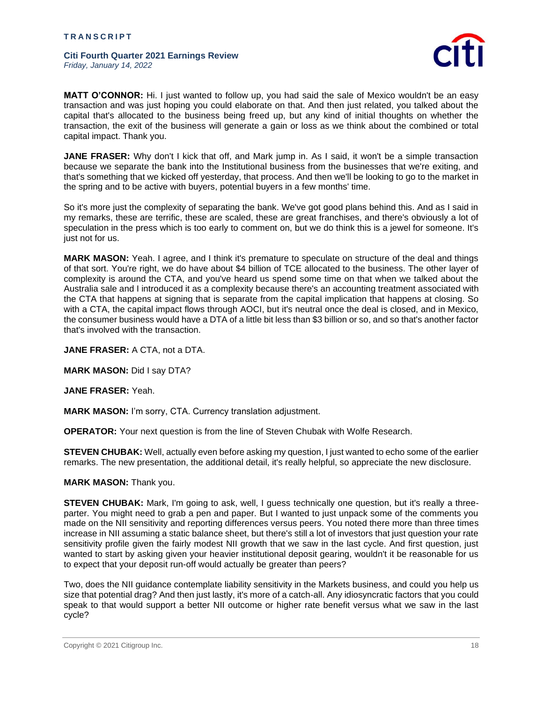

**MATT O'CONNOR:** Hi. I just wanted to follow up, you had said the sale of Mexico wouldn't be an easy transaction and was just hoping you could elaborate on that. And then just related, you talked about the capital that's allocated to the business being freed up, but any kind of initial thoughts on whether the transaction, the exit of the business will generate a gain or loss as we think about the combined or total capital impact. Thank you.

**JANE FRASER:** Why don't I kick that off, and Mark jump in. As I said, it won't be a simple transaction because we separate the bank into the Institutional business from the businesses that we're exiting, and that's something that we kicked off yesterday, that process. And then we'll be looking to go to the market in the spring and to be active with buyers, potential buyers in a few months' time.

So it's more just the complexity of separating the bank. We've got good plans behind this. And as I said in my remarks, these are terrific, these are scaled, these are great franchises, and there's obviously a lot of speculation in the press which is too early to comment on, but we do think this is a jewel for someone. It's just not for us.

**MARK MASON:** Yeah. I agree, and I think it's premature to speculate on structure of the deal and things of that sort. You're right, we do have about \$4 billion of TCE allocated to the business. The other layer of complexity is around the CTA, and you've heard us spend some time on that when we talked about the Australia sale and I introduced it as a complexity because there's an accounting treatment associated with the CTA that happens at signing that is separate from the capital implication that happens at closing. So with a CTA, the capital impact flows through AOCI, but it's neutral once the deal is closed, and in Mexico, the consumer business would have a DTA of a little bit less than \$3 billion or so, and so that's another factor that's involved with the transaction.

**JANE FRASER:** A CTA, not a DTA.

**MARK MASON:** Did I say DTA?

**JANE FRASER:** Yeah.

**MARK MASON:** I'm sorry, CTA. Currency translation adjustment.

**OPERATOR:** Your next question is from the line of Steven Chubak with Wolfe Research.

**STEVEN CHUBAK:** Well, actually even before asking my question, I just wanted to echo some of the earlier remarks. The new presentation, the additional detail, it's really helpful, so appreciate the new disclosure.

**MARK MASON:** Thank you.

**STEVEN CHUBAK:** Mark, I'm going to ask, well, I guess technically one question, but it's really a threeparter. You might need to grab a pen and paper. But I wanted to just unpack some of the comments you made on the NII sensitivity and reporting differences versus peers. You noted there more than three times increase in NII assuming a static balance sheet, but there's still a lot of investors that just question your rate sensitivity profile given the fairly modest NII growth that we saw in the last cycle. And first question, just wanted to start by asking given your heavier institutional deposit gearing, wouldn't it be reasonable for us to expect that your deposit run-off would actually be greater than peers?

Two, does the NII guidance contemplate liability sensitivity in the Markets business, and could you help us size that potential drag? And then just lastly, it's more of a catch-all. Any idiosyncratic factors that you could speak to that would support a better NII outcome or higher rate benefit versus what we saw in the last cycle?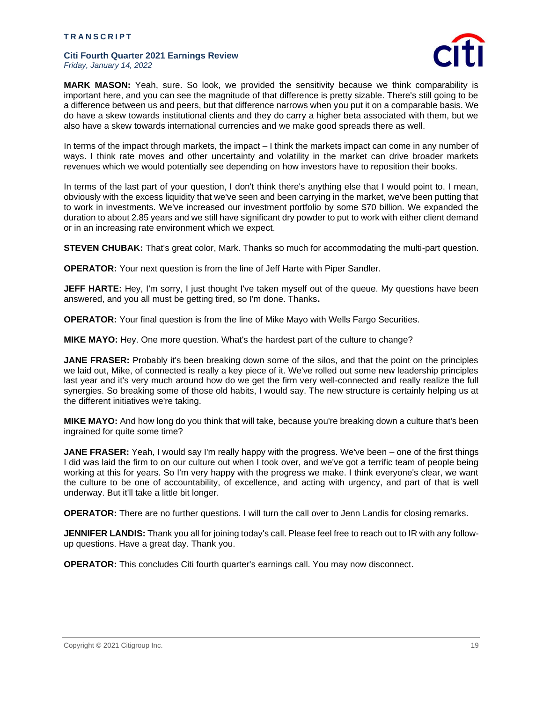

**MARK MASON:** Yeah, sure. So look, we provided the sensitivity because we think comparability is important here, and you can see the magnitude of that difference is pretty sizable. There's still going to be a difference between us and peers, but that difference narrows when you put it on a comparable basis. We do have a skew towards institutional clients and they do carry a higher beta associated with them, but we also have a skew towards international currencies and we make good spreads there as well.

In terms of the impact through markets, the impact – I think the markets impact can come in any number of ways. I think rate moves and other uncertainty and volatility in the market can drive broader markets revenues which we would potentially see depending on how investors have to reposition their books.

In terms of the last part of your question, I don't think there's anything else that I would point to. I mean, obviously with the excess liquidity that we've seen and been carrying in the market, we've been putting that to work in investments. We've increased our investment portfolio by some \$70 billion. We expanded the duration to about 2.85 years and we still have significant dry powder to put to work with either client demand or in an increasing rate environment which we expect.

**STEVEN CHUBAK:** That's great color, Mark. Thanks so much for accommodating the multi-part question.

**OPERATOR:** Your next question is from the line of Jeff Harte with Piper Sandler.

**JEFF HARTE:** Hey, I'm sorry, I just thought I've taken myself out of the queue. My questions have been answered, and you all must be getting tired, so I'm done. Thanks**.**

**OPERATOR:** Your final question is from the line of Mike Mayo with Wells Fargo Securities.

**MIKE MAYO:** Hey. One more question. What's the hardest part of the culture to change?

**JANE FRASER:** Probably it's been breaking down some of the silos, and that the point on the principles we laid out, Mike, of connected is really a key piece of it. We've rolled out some new leadership principles last year and it's very much around how do we get the firm very well-connected and really realize the full synergies. So breaking some of those old habits, I would say. The new structure is certainly helping us at the different initiatives we're taking.

**MIKE MAYO:** And how long do you think that will take, because you're breaking down a culture that's been ingrained for quite some time?

**JANE FRASER:** Yeah, I would say I'm really happy with the progress. We've been – one of the first things I did was laid the firm to on our culture out when I took over, and we've got a terrific team of people being working at this for years. So I'm very happy with the progress we make. I think everyone's clear, we want the culture to be one of accountability, of excellence, and acting with urgency, and part of that is well underway. But it'll take a little bit longer.

**OPERATOR:** There are no further questions. I will turn the call over to Jenn Landis for closing remarks.

**JENNIFER LANDIS:** Thank you all for joining today's call. Please feel free to reach out to IR with any followup questions. Have a great day. Thank you.

**OPERATOR:** This concludes Citi fourth quarter's earnings call. You may now disconnect.